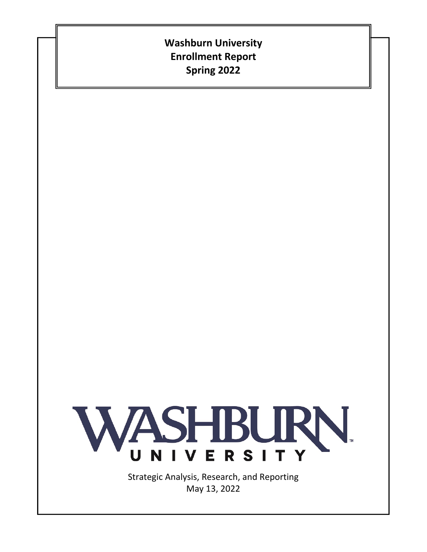# **Washburn University Enrollment Report Spring 2022**



Strategic Analysis, Research, and Reporting May 13, 2022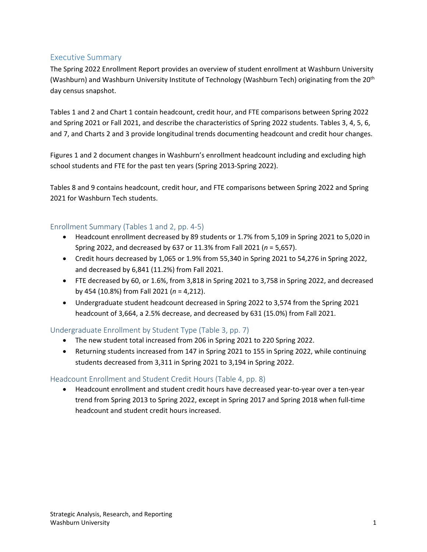## Executive Summary

The Spring 2022 Enrollment Report provides an overview of student enrollment at Washburn University (Washburn) and Washburn University Institute of Technology (Washburn Tech) originating from the 20<sup>th</sup> day census snapshot.

Tables 1 and 2 and Chart 1 contain headcount, credit hour, and FTE comparisons between Spring 2022 and Spring 2021 or Fall 2021, and describe the characteristics of Spring 2022 students. Tables 3, 4, 5, 6, and 7, and Charts 2 and 3 provide longitudinal trends documenting headcount and credit hour changes.

Figures 1 and 2 document changes in Washburn's enrollment headcount including and excluding high school students and FTE for the past ten years (Spring 2013‐Spring 2022).

Tables 8 and 9 contains headcount, credit hour, and FTE comparisons between Spring 2022 and Spring 2021 for Washburn Tech students.

#### Enrollment Summary (Tables 1 and 2, pp. 4‐5)

- Headcount enrollment decreased by 89 students or 1.7% from 5,109 in Spring 2021 to 5,020 in Spring 2022, and decreased by 637 or 11.3% from Fall 2021 (*n* = 5,657).
- Credit hours decreased by 1,065 or 1.9% from 55,340 in Spring 2021 to 54,276 in Spring 2022, and decreased by 6,841 (11.2%) from Fall 2021.
- FTE decreased by 60, or 1.6%, from 3,818 in Spring 2021 to 3,758 in Spring 2022, and decreased by 454 (10.8%) from Fall 2021 (*n* = 4,212).
- Undergraduate student headcount decreased in Spring 2022 to 3,574 from the Spring 2021 headcount of 3,664, a 2.5% decrease, and decreased by 631 (15.0%) from Fall 2021.

## Undergraduate Enrollment by Student Type (Table 3, pp. 7)

- The new student total increased from 206 in Spring 2021 to 220 Spring 2022.
- Returning students increased from 147 in Spring 2021 to 155 in Spring 2022, while continuing students decreased from 3,311 in Spring 2021 to 3,194 in Spring 2022.

#### Headcount Enrollment and Student Credit Hours (Table 4, pp. 8)

Headcount enrollment and student credit hours have decreased year-to-year over a ten-year trend from Spring 2013 to Spring 2022, except in Spring 2017 and Spring 2018 when full‐time headcount and student credit hours increased.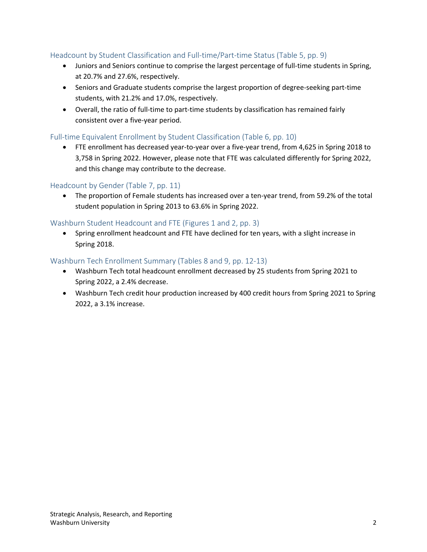## Headcount by Student Classification and Full-time/Part-time Status (Table 5, pp. 9)

- Juniors and Seniors continue to comprise the largest percentage of full-time students in Spring, at 20.7% and 27.6%, respectively.
- Seniors and Graduate students comprise the largest proportion of degree-seeking part-time students, with 21.2% and 17.0%, respectively.
- Overall, the ratio of full-time to part-time students by classification has remained fairly consistent over a five‐year period.

#### Full-time Equivalent Enrollment by Student Classification (Table 6, pp. 10)

 FTE enrollment has decreased year‐to‐year over a five‐year trend, from 4,625 in Spring 2018 to 3,758 in Spring 2022. However, please note that FTE was calculated differently for Spring 2022, and this change may contribute to the decrease.

#### Headcount by Gender (Table 7, pp. 11)

● The proportion of Female students has increased over a ten-year trend, from 59.2% of the total student population in Spring 2013 to 63.6% in Spring 2022.

#### Washburn Student Headcount and FTE (Figures 1 and 2, pp. 3)

• Spring enrollment headcount and FTE have declined for ten years, with a slight increase in Spring 2018.

#### Washburn Tech Enrollment Summary (Tables 8 and 9, pp. 12‐13)

- Washburn Tech total headcount enrollment decreased by 25 students from Spring 2021 to Spring 2022, a 2.4% decrease.
- Washburn Tech credit hour production increased by 400 credit hours from Spring 2021 to Spring 2022, a 3.1% increase.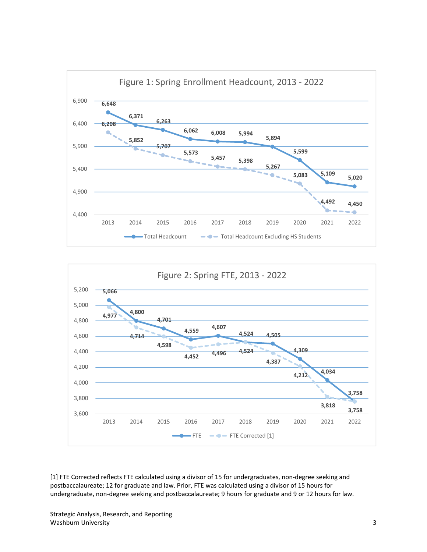



[1] FTE Corrected reflects FTE calculated using a divisor of 15 for undergraduates, non‐degree seeking and postbaccalaureate; 12 for graduate and law. Prior, FTE was calculated using a divisor of 15 hours for undergraduate, non-degree seeking and postbaccalaureate; 9 hours for graduate and 9 or 12 hours for law.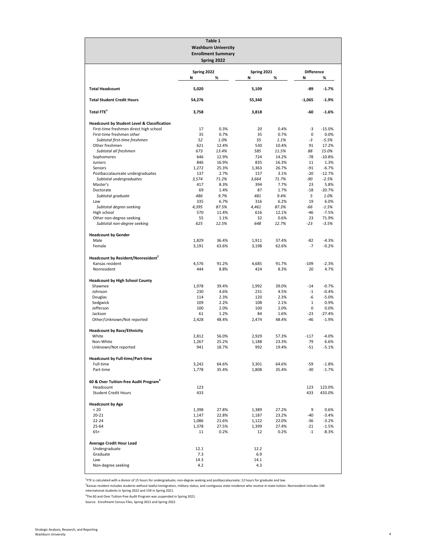|                                                                     |                  | Table 1<br><b>Washburn University</b><br><b>Enrollment Summary</b><br>Spring 2022 |                  |                |                        |                    |
|---------------------------------------------------------------------|------------------|-----------------------------------------------------------------------------------|------------------|----------------|------------------------|--------------------|
|                                                                     | Spring 2022<br>Ν | %                                                                                 | Spring 2021<br>Ν | %              | <b>Difference</b><br>Ν | %                  |
| <b>Total Headcount</b>                                              | 5,020            |                                                                                   | 5,109            |                | -89                    | $-1.7%$            |
| <b>Total Student Credit Hours</b>                                   | 54,276           |                                                                                   | 55,340           |                | $-1,065$               | $-1.9%$            |
| Total FTE <sup>1</sup>                                              | 3,758            |                                                                                   | 3,818            |                | -60                    | $-1.6%$            |
| <b>Headcount by Student Level &amp; Classification</b>              |                  |                                                                                   |                  |                |                        |                    |
| First-time freshmen direct high school<br>First-time freshmen other | 17               | 0.3%                                                                              | 20               | 0.4%           | -3<br>0                | $-15.0%$           |
| Subtotal first-time freshmen                                        | 35<br>52         | 0.7%<br>1.0%                                                                      | 35<br>55         | 0.7%<br>1.1%   | -3                     | 0.0%<br>$-5.5%$    |
| Other freshmen                                                      | 621              | 12.4%                                                                             | 530              | 10.4%          | 91                     | 17.2%              |
| Subtotal all freshmen                                               | 673              | 13.4%                                                                             | 585              | 11.5%          | 88                     | 15.0%              |
| Sophomores                                                          | 646              | 12.9%                                                                             | 724              | 14.2%          | $-78$                  | $-10.8%$           |
| Juniors<br>Seniors                                                  | 846<br>1,272     | 16.9%<br>25.3%                                                                    | 835<br>1,363     | 16.3%<br>26.7% | 11<br>$-91$            | 1.3%<br>$-6.7%$    |
| Postbaccalaureate undergraduates                                    | 137              | 2.7%                                                                              | 157              | 3.1%           | $-20$                  | $-12.7%$           |
| Subtotal undergraduates                                             | 3,574            | 71.2%                                                                             | 3,664            | 71.7%          | -90                    | $-2.5%$            |
| Master's                                                            | 417              | 8.3%                                                                              | 394              | 7.7%           | 23                     | 5.8%               |
| Doctorate                                                           | 69               | 1.4%                                                                              | 87               | 1.7%           | $-18$<br>5             | $-20.7%$           |
| Subtotal graduate<br>Law                                            | 486<br>335       | 9.7%<br>6.7%                                                                      | 481<br>316       | 9.4%<br>6.2%   | 19                     | 1.0%<br>6.0%       |
| Subtotal degree-seeking                                             | 4,395            | 87.5%                                                                             | 4,461            | 87.3%          | -66                    | $-1.5%$            |
| High school                                                         | 570              | 11.4%                                                                             | 616              | 12.1%          | $-46$                  | $-7.5%$            |
| Other non-degree seeking                                            | 55               | 1.1%                                                                              | 32               | 0.6%           | 23                     | 71.9%              |
| Subtotal non-degree seeking                                         | 625              | 12.5%                                                                             | 648              | 12.7%          | $-23$                  | $-3.5%$            |
| <b>Headcount by Gender</b>                                          |                  |                                                                                   |                  |                |                        |                    |
| Male                                                                | 1,829            | 36.4%                                                                             | 1,911            | 37.4%          | $-82$                  | $-4.3%$            |
| Female                                                              | 3,191            | 63.6%                                                                             | 3,198            | 62.6%          | $-7$                   | $-0.2%$            |
| Headcount by Resident/Nonresident <sup>2</sup>                      |                  |                                                                                   |                  |                |                        |                    |
| Kansas resident                                                     | 4,576            | 91.2%                                                                             | 4,685            | 91.7%          | $-109$                 | $-2.3%$            |
| Nonresident                                                         | 444              | 8.8%                                                                              | 424              | 8.3%           | 20                     | 4.7%               |
|                                                                     |                  |                                                                                   |                  |                |                        |                    |
| <b>Headcount by High School County</b><br>Shawnee                   | 1,978            | 39.4%                                                                             | 1,992            | 39.0%          | $-14$                  | $-0.7%$            |
| Johnson                                                             | 230              | 4.6%                                                                              | 231              | 4.5%           | $-1$                   | $-0.4%$            |
| Douglas                                                             | 114              | 2.3%                                                                              | 120              | 2.3%           | -6                     | $-5.0%$            |
| Sedgwick                                                            | 109              | 2.2%                                                                              | 108              | 2.1%           | $1\,$                  | 0.9%               |
| Jefferson<br>Jackson                                                | 100<br>61        | 2.0%<br>1.2%                                                                      | 100<br>84        | 2.0%<br>1.6%   | 0<br>$-23$             | 0.0%<br>$-27.4%$   |
| Other/Unknown/Not reported                                          | 2,428            | 48.4%                                                                             | 2,474            | 48.4%          | $-46$                  | $-1.9%$            |
|                                                                     |                  |                                                                                   |                  |                |                        |                    |
| <b>Headcount by Race/Ethnicity</b>                                  |                  |                                                                                   |                  |                |                        |                    |
| White<br>Non-White                                                  | 2,812<br>1,267   | 56.0%<br>25.2%                                                                    | 2,929<br>1,188   | 57.3%<br>23.3% | $-117$<br>79           | $-4.0%$<br>6.6%    |
| Unknown/Not reported                                                | 941              | 18.7%                                                                             | 992              | 19.4%          | $-51$                  | $-5.1%$            |
|                                                                     |                  |                                                                                   |                  |                |                        |                    |
| <b>Headcount by Full-time/Part-time</b>                             |                  |                                                                                   |                  |                |                        | $-1.8%$            |
| Full-time<br>Part-time                                              | 3,242<br>1,778   | 64.6%<br>35.4%                                                                    | 3,301<br>1,808   | 64.6%<br>35.4% | -59<br>$-30$           | $-1.7%$            |
|                                                                     |                  |                                                                                   |                  |                |                        |                    |
| 60 & Over Tuition-free Audit Program <sup>3</sup>                   |                  |                                                                                   |                  |                |                        |                    |
| Headcount                                                           | 123              |                                                                                   |                  |                | 123                    | 123.0%             |
| <b>Student Credit Hours</b>                                         | 433              |                                                                                   |                  |                | 433                    | 433.0%             |
| <b>Headcount by Age</b>                                             |                  |                                                                                   |                  |                |                        |                    |
| < 20                                                                | 1,398            | 27.8%                                                                             | 1,389            | 27.2%          | 9                      | 0.6%               |
| $20 - 21$                                                           | 1,147            | 22.8%                                                                             | 1,187            | 23.2%          | -40                    | $-3.4%$            |
| $22 - 24$<br>25-64                                                  | 1,086<br>1,378   | 21.6%<br>27.5%                                                                    | 1,122<br>1,399   | 22.0%<br>27.4% | -36<br>$-21$           | $-3.2%$<br>$-1.5%$ |
| $65+$                                                               | 11               | 0.2%                                                                              | 12               | 0.2%           | $-1$                   | $-8.3%$            |
|                                                                     |                  |                                                                                   |                  |                |                        |                    |
| <b>Average Credit Hour Load</b>                                     |                  |                                                                                   |                  |                |                        |                    |
| Undergraduate<br>Graduate                                           | 12.1<br>7.3      |                                                                                   | 12.2<br>6.9      |                |                        |                    |
| Law                                                                 | 14.3             |                                                                                   | 14.1             |                |                        |                    |
| Non-degree seeking                                                  | 4.2              |                                                                                   | 4.3              |                |                        |                    |
|                                                                     |                  |                                                                                   |                  |                |                        |                    |

<sup>1</sup>FTE is calculated with a divisor of 15 hours for undergraduate, non-degree seeking and postbaccalaureate; 12 hours for graduate and law.

<sup>2</sup>Kansas resident includes students without lawful immigration, military status, and contiguous state residence who receive in-state tuition. Nonresident includes 196<br>international students in Spring 2022 and 159 in Sprin

<sup>3</sup>The 60 and Over Tuition-free Audit Program was suspended in Spring 2021.

Source: Enrollment Census Files, Spring 2021 and Spring 2022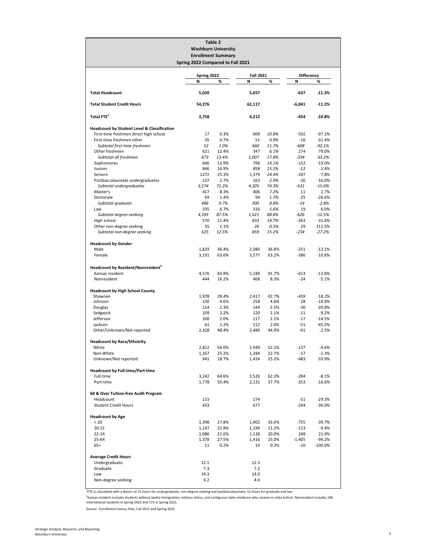|                                                        | Spring 2022 Compared to Fall 2021 | Table 2<br><b>Washburn University</b><br><b>Enrollment Summary</b> |                  |               |                   |                      |
|--------------------------------------------------------|-----------------------------------|--------------------------------------------------------------------|------------------|---------------|-------------------|----------------------|
|                                                        | Spring 2022                       |                                                                    | <b>Fall 2021</b> |               | <b>Difference</b> |                      |
|                                                        | N                                 | %                                                                  | N                | %             | N                 | %                    |
| <b>Total Headcount</b>                                 | 5,020                             |                                                                    | 5,657            |               | -637              | $-11.3%$             |
| <b>Total Student Credit Hours</b>                      | 54,276                            |                                                                    | 61,117           |               | $-6,841$          | $-11.2%$             |
| Total FTE <sup>1</sup>                                 | 3,758                             |                                                                    | 4,212            |               | -454              | $-10.8%$             |
| <b>Headcount by Student Level &amp; Classification</b> |                                   |                                                                    |                  |               |                   |                      |
| First-time freshmen direct high school                 | 17                                | 0.3%                                                               | 609              | 10.8%         | $-592$            | $-97.2%$             |
| First-time freshmen other                              | 35                                | 0.7%                                                               | 51               | 0.9%          | $-16$             | $-31.4%$             |
| Subtotal first-time freshmen<br>Other freshmen         | 52<br>621                         | 1.0%<br>12.4%                                                      | 660<br>347       | 11.7%<br>6.1% | $-608$<br>274     | $-92.1%$<br>79.0%    |
| Subtotal all freshmen                                  | 673                               | 13.4%                                                              | 1,007            | 17.8%         | $-334$            | $-33.2%$             |
| Sophomores                                             | 646                               | 12.9%                                                              | 798              | 14.1%         | $-152$            | $-19.0%$             |
| Juniors                                                | 846                               | 16.9%                                                              | 858              | 15.2%         | $-12$             | $-1.4%$              |
| Seniors                                                | 1272                              | 25.3%                                                              | 1,379            | 24.4%         | $-107$            | $-7.8%$              |
| Postbaccalaureate undergraduates                       | 137                               | 2.7%                                                               | 163              | 2.9%          | $-26$             | $-16.0%$             |
| Subtotal undergraduates<br>Master's                    | 3,574                             | 71.2%                                                              | 4,205            | 74.3%         | -631              | $-15.0%$             |
| Doctorate                                              | 417<br>69                         | 8.3%<br>1.4%                                                       | 406<br>94        | 7.2%<br>1.7%  | 11<br>$-25$       | 2.7%<br>$-26.6%$     |
| Subtotal graduate                                      | 486                               | 9.7%                                                               | 500              | 8.8%          | $-14$             | $-2.8%$              |
| Law                                                    | 335                               | 6.7%                                                               | 316              | 5.6%          | 19                | 6.0%                 |
| Subtotal degree-seeking                                | 4,395                             | 87.5%                                                              | 5,021            | 88.8%         | -626              | $-12.5%$             |
| High school                                            | 570                               | 11.4%                                                              | 833              | 14.7%         | $-263$            | $-31.6%$             |
| Other non-degree seeking                               | 55                                | 1.1%                                                               | 26               | 0.5%          | 29                | 111.5%               |
| Subtotal non-degree seeking                            | 625                               | 12.5%                                                              | 859              | 15.2%         | $-234$            | $-27.2%$             |
| <b>Headcount by Gender</b>                             |                                   |                                                                    |                  |               |                   |                      |
| Male                                                   | 1,829                             | 36.4%                                                              | 2,080            | 36.8%         | $-251$            | $-12.1%$             |
| Female                                                 | 3,191                             | 63.6%                                                              | 3,577            | 63.2%         | $-386$            | $-10.8%$             |
| Headcount by Resident/Nonresident                      |                                   |                                                                    |                  |               |                   |                      |
| Kansas resident                                        | 4,576                             | 83.8%                                                              | 5,189            | 91.7%         | $-613$            | $-11.8%$             |
| Nonresident                                            | 444                               | 16.2%                                                              | 468              | 8.3%          | $-24$             | $-5.1%$              |
|                                                        |                                   |                                                                    |                  |               |                   |                      |
| <b>Headcount by High School County</b>                 |                                   |                                                                    |                  |               |                   |                      |
| Shawnee<br>Johnson                                     | 1,978<br>230                      | 39.4%<br>4.6%                                                      | 2,417<br>258     | 42.7%<br>4.6% | -439<br>$-28$     | $-18.2%$<br>$-10.9%$ |
| Douglas                                                | 114                               | 2.3%                                                               | 144              | 2.5%          | $-30$             | $-20.8%$             |
| Sedgwick                                               | 109                               | 2.2%                                                               | 120              | 2.1%          | $-11$             | $-9.2%$              |
| Jefferson                                              | 100                               | 2.0%                                                               | 117              | 2.1%          | $-17$             | $-14.5%$             |
| Jackson                                                | 61                                | 1.2%                                                               | 112              | 2.0%          | $-51$             | $-45.5%$             |
| Other/Unknown/Not reported                             | 2,428                             | 48.4%                                                              | 2,489            | 44.0%         | $-61$             | $-2.5%$              |
| <b>Headcount by Race/Ethnicity</b>                     |                                   |                                                                    |                  |               |                   |                      |
| White                                                  | 2,812                             | 56.0%                                                              | 2,949            | 52.1%         | $-137$            | -4.6%                |
| Non-White                                              | 1,267                             | 25.2%                                                              | 1,284            | 22.7%         | $-17$             | $-1.3%$              |
| Unknown/Not reported                                   | 941                               | 18.7%                                                              | 1,424            | 25.2%         | -483              | $-33.9%$             |
| <b>Headcount by Full-time/Part-time</b>                |                                   |                                                                    |                  |               |                   |                      |
| Full-time                                              | 3,242                             | 64.6%                                                              | 3,526            | 62.3%         | $-284$            | $-8.1%$              |
| Part-time                                              | 1,778                             | 35.4%                                                              | 2,131            | 37.7%         | $-353$            | $-16.6%$             |
| 60 & Over Tuition-free Audit Program                   |                                   |                                                                    |                  |               |                   |                      |
| Headcount                                              | 123                               |                                                                    | 174              |               | $-51$             | $-29.3%$             |
| <b>Student Credit Hours</b>                            | 433                               |                                                                    | 677              |               | $-244$            | $-36.0%$             |
| <b>Headcount by Age</b>                                |                                   |                                                                    |                  |               |                   |                      |
| < 20                                                   | 1,398                             | 27.8%                                                              | 1,902            | 33.6%         | $-755$            | $-39.7%$             |
| $20 - 21$                                              | 1,147                             | 22.8%                                                              | 1,199            | 21.2%         | $-113$            | $-9.4%$              |
| 22-24                                                  | 1,086                             | 21.6%                                                              | 1,130            | 20.0%         | 248               | 21.9%                |
| 25-64                                                  | 1,378                             | 27.5%                                                              | 1,416            | 25.0%         | $-1,405$          | $-99.2%$             |
| $65+$                                                  | 11                                | 0.2%                                                               | 10               | 0.2%          | $-10$             | $-100.0%$            |
| <b>Average Credit Hours</b>                            |                                   |                                                                    |                  |               |                   |                      |
| Undergraduate                                          | 12.1                              |                                                                    | 12.3             |               |                   |                      |
| Graduate                                               | 7.3                               |                                                                    | 7.2              |               |                   |                      |
| Law                                                    | 14.3                              |                                                                    | 14.0             |               |                   |                      |
| Non-degree seeking                                     | 4.2                               |                                                                    | 4.6              |               |                   |                      |

<sup>1</sup>FTE is calculated with a divisor of 15 hours for undergraduate, non-degree seeking and postbaccalaureate; 12 hours for graduate and law.

<sup>2</sup>Kansas resident includes students without lawful immigration, military status, and contiguous state residence who receive in-state tuition. Nonresident includes 196<br>international students in Spring 2022 and 173 in Sprin

Source: Enrollment Census Files, Fall 2021 and Spring 2022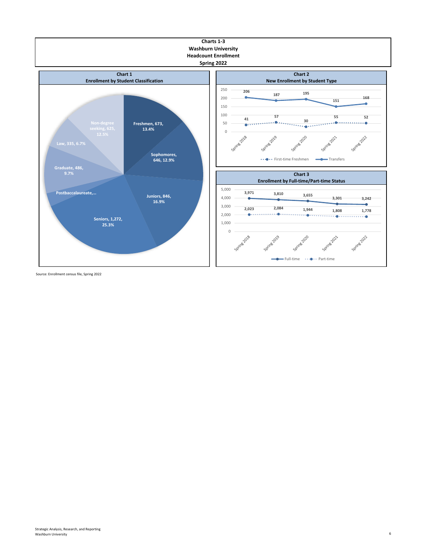

Source: Enrollment census file, Spring 2022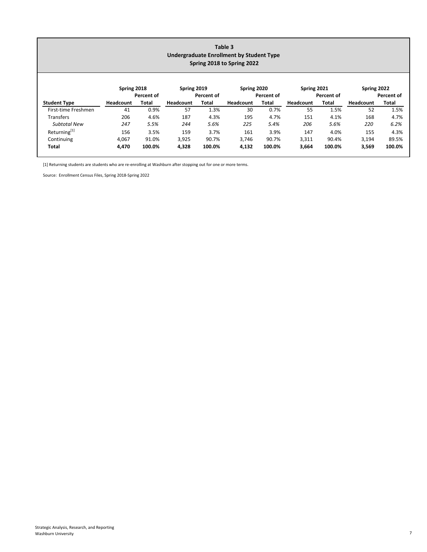| Table 3<br>Undergraduate Enrollment by Student Type<br>Spring 2018 to Spring 2022 |                  |            |             |            |             |            |                  |            |                  |            |  |
|-----------------------------------------------------------------------------------|------------------|------------|-------------|------------|-------------|------------|------------------|------------|------------------|------------|--|
|                                                                                   | Spring 2018      | Percent of | Spring 2019 | Percent of | Spring 2020 | Percent of | Spring 2021      | Percent of | Spring 2022      | Percent of |  |
| <b>Student Type</b>                                                               | <b>Headcount</b> | Total      | Headcount   | Total      | Headcount   | Total      | <b>Headcount</b> | Total      | <b>Headcount</b> | Total      |  |
| First-time Freshmen                                                               | 41               | 0.9%       | 57          | 1.3%       | 30          | 0.7%       | 55               | 1.5%       | 52               | 1.5%       |  |
| Transfers                                                                         | 206              | 4.6%       | 187         | 4.3%       | 195         | 4.7%       | 151              | 4.1%       | 168              | 4.7%       |  |
| <b>Subtotal New</b>                                                               | 247              | 5.5%       | 244         | 5.6%       | 225         | 5.4%       | 206              | 5.6%       | 220              | 6.2%       |  |
| Returning <sup>[1]</sup>                                                          | 156              | 3.5%       | 159         | 3.7%       | 161         | 3.9%       | 147              | 4.0%       | 155              | 4.3%       |  |
| Continuing                                                                        | 4,067            | 91.0%      | 3,925       | 90.7%      | 3,746       | 90.7%      | 3,311            | 90.4%      | 3,194            | 89.5%      |  |
| Total                                                                             | 4,470            | 100.0%     | 4,328       | 100.0%     | 4,132       | 100.0%     | 3,664            | 100.0%     | 3,569            | 100.0%     |  |

[1] Returning students are students who are re-enrolling at Washburn after stopping out for one or more terms.

Source: Enrollment Census Files, Spring 2018‐Spring 2022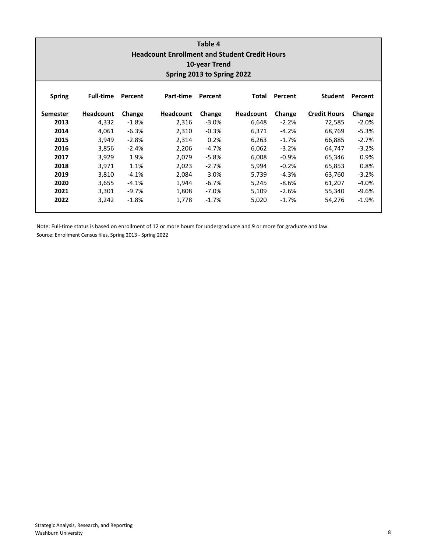| Table 4<br><b>Headcount Enrollment and Student Credit Hours</b><br>10-year Trend<br>Spring 2013 to Spring 2022 |                  |         |                  |         |                  |         |                     |               |  |  |  |  |
|----------------------------------------------------------------------------------------------------------------|------------------|---------|------------------|---------|------------------|---------|---------------------|---------------|--|--|--|--|
| <b>Spring</b>                                                                                                  | <b>Full-time</b> | Percent | Part-time        | Percent | Total            | Percent | <b>Student</b>      | Percent       |  |  |  |  |
| Semester                                                                                                       | Headcount        | Change  | <b>Headcount</b> | Change  | <b>Headcount</b> | Change  | <b>Credit Hours</b> | <b>Change</b> |  |  |  |  |
| 2013                                                                                                           | 4,332            | $-1.8%$ | 2,316            | $-3.0%$ | 6,648            | $-2.2%$ | 72,585              | $-2.0%$       |  |  |  |  |
| 2014                                                                                                           | 4,061            | $-6.3%$ | 2,310            | $-0.3%$ | 6,371            | $-4.2%$ | 68,769              | $-5.3%$       |  |  |  |  |
| 2015                                                                                                           | 3.949            | $-2.8%$ | 2,314            | 0.2%    | 6,263            | $-1.7%$ | 66,885              | $-2.7%$       |  |  |  |  |
| 2016                                                                                                           | 3,856            | $-2.4%$ | 2,206            | $-4.7%$ | 6,062            | $-3.2%$ | 64,747              | $-3.2%$       |  |  |  |  |
| 2017                                                                                                           | 3,929            | 1.9%    | 2,079            | $-5.8%$ | 6,008            | $-0.9%$ | 65,346              | 0.9%          |  |  |  |  |
| 2018                                                                                                           | 3.971            | 1.1%    | 2,023            | $-2.7%$ | 5,994            | $-0.2%$ | 65,853              | 0.8%          |  |  |  |  |
| 2019                                                                                                           | 3.810            | $-4.1%$ | 2,084            | 3.0%    | 5,739            | $-4.3%$ | 63,760              | $-3.2%$       |  |  |  |  |
| 2020                                                                                                           | 3,655            | $-4.1%$ | 1,944            | $-6.7%$ | 5,245            | $-8.6%$ | 61,207              | $-4.0%$       |  |  |  |  |
| 2021                                                                                                           | 3,301            | $-9.7%$ | 1,808            | $-7.0%$ | 5,109            | $-2.6%$ | 55,340              | $-9.6%$       |  |  |  |  |
| 2022                                                                                                           | 3,242            | $-1.8%$ | 1,778            | $-1.7%$ | 5,020            | $-1.7%$ | 54,276              | $-1.9%$       |  |  |  |  |

Source: Enrollment Census files, Spring 2013 ‐ Spring 2022 Note: Full‐time status is based on enrollment of 12 or more hours for undergraduate and 9 or more for graduate and law.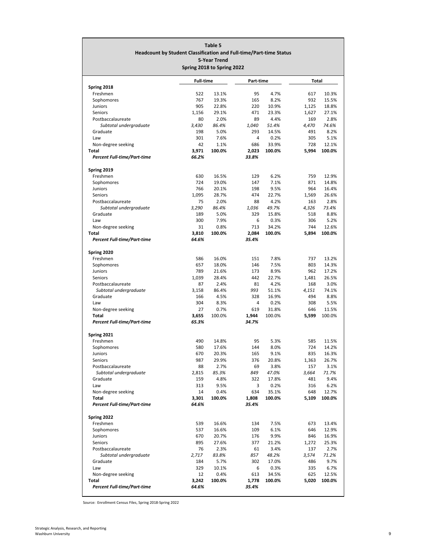| Table 5<br>Headcount by Student Classification and Full-time/Part-time Status<br><b>5-Year Trend</b><br>Spring 2018 to Spring 2022 |                |                |                |                 |              |                 |  |  |  |  |
|------------------------------------------------------------------------------------------------------------------------------------|----------------|----------------|----------------|-----------------|--------------|-----------------|--|--|--|--|
| <b>Full-time</b><br>Part-time<br>Total                                                                                             |                |                |                |                 |              |                 |  |  |  |  |
| Spring 2018                                                                                                                        |                |                |                |                 |              |                 |  |  |  |  |
| Freshmen                                                                                                                           | 522            | 13.1%          | 95             | 4.7%            | 617          | 10.3%           |  |  |  |  |
| Sophomores                                                                                                                         | 767            | 19.3%          | 165            | 8.2%            | 932          | 15.5%           |  |  |  |  |
| Juniors                                                                                                                            | 905            | 22.8%          | 220            | 10.9%           | 1,125        | 18.8%           |  |  |  |  |
| Seniors                                                                                                                            | 1,156          | 29.1%          | 471            | 23.3%<br>4.4%   | 1,627        | 27.1%           |  |  |  |  |
| Postbaccalaureate<br>Subtotal undergraduate                                                                                        | 80<br>3,430    | 2.0%<br>86.4%  | 89<br>1.040    | 51.4%           | 169<br>4,470 | 2.8%<br>74.6%   |  |  |  |  |
| Graduate                                                                                                                           | 198            | 5.0%           | 293            | 14.5%           | 491          | 8.2%            |  |  |  |  |
| Law                                                                                                                                | 301            | 7.6%           | 4              | 0.2%            | 305          | 5.1%            |  |  |  |  |
| Non-degree seeking                                                                                                                 | 42             | 1.1%           | 686            | 33.9%           | 728          | 12.1%           |  |  |  |  |
| Total                                                                                                                              | 3,971          | 100.0%         | 2,023          | 100.0%          | 5,994        | 100.0%          |  |  |  |  |
| Percent Full-time/Part-time                                                                                                        | 66.2%          |                | 33.8%          |                 |              |                 |  |  |  |  |
| Spring 2019                                                                                                                        |                |                |                |                 |              |                 |  |  |  |  |
| Freshmen                                                                                                                           | 630            | 16.5%          | 129            | 6.2%            | 759          | 12.9%           |  |  |  |  |
| Sophomores                                                                                                                         | 724            | 19.0%          | 147            | 7.1%            | 871          | 14.8%           |  |  |  |  |
| <b>Juniors</b>                                                                                                                     | 766            | 20.1%          | 198            | 9.5%            | 964          | 16.4%           |  |  |  |  |
| Seniors                                                                                                                            | 1,095          | 28.7%          | 474            | 22.7%           | 1,569        | 26.6%           |  |  |  |  |
| Postbaccalaureate                                                                                                                  | 75             | 2.0%           | 88             | 4.2%            | 163          | 2.8%<br>73.4%   |  |  |  |  |
| Subtotal undergraduate<br>Graduate                                                                                                 | 3,290<br>189   | 86.4%<br>5.0%  | 1,036<br>329   | 49.7%<br>15.8%  | 4,326<br>518 | 8.8%            |  |  |  |  |
| Law                                                                                                                                | 300            | 7.9%           | 6              | 0.3%            | 306          | 5.2%            |  |  |  |  |
| Non-degree seeking                                                                                                                 | 31             | 0.8%           | 713            | 34.2%           | 744          | 12.6%           |  |  |  |  |
| Total                                                                                                                              | 3,810          | 100.0%         | 2,084          | 100.0%          | 5,894        | 100.0%          |  |  |  |  |
| Percent Full-time/Part-time                                                                                                        | 64.6%          |                | 35.4%          |                 |              |                 |  |  |  |  |
| Spring 2020                                                                                                                        |                |                |                |                 |              |                 |  |  |  |  |
| Freshmen                                                                                                                           | 586            | 16.0%          | 151            | 7.8%            | 737          | 13.2%           |  |  |  |  |
| Sophomores                                                                                                                         | 657            | 18.0%          | 146            | 7.5%            | 803          | 14.3%           |  |  |  |  |
| <b>Juniors</b>                                                                                                                     | 789            | 21.6%          | 173            | 8.9%            | 962          | 17.2%           |  |  |  |  |
| Seniors                                                                                                                            | 1,039          | 28.4%          | 442            | 22.7%           | 1,481        | 26.5%           |  |  |  |  |
| Postbaccalaureate                                                                                                                  | 87             | 2.4%           | 81             | 4.2%            | 168          | 3.0%            |  |  |  |  |
| Subtotal undergraduate                                                                                                             | 3,158          | 86.4%          | 993            | 51.1%           | 4,151        | 74.1%           |  |  |  |  |
| Graduate                                                                                                                           | 166            | 4.5%           | 328            | 16.9%           | 494          | 8.8%            |  |  |  |  |
| Law<br>Non-degree seeking                                                                                                          | 304<br>27      | 8.3%<br>0.7%   | 4<br>619       | 0.2%<br>31.8%   | 308<br>646   | 5.5%<br>11.5%   |  |  |  |  |
| Total                                                                                                                              | 3,655          | 100.0%         | 1,944          | 100.0%          | 5,599        | 100.0%          |  |  |  |  |
| <b>Percent Full-time/Part-time</b>                                                                                                 | 65.3%          |                | 34.7%          |                 |              |                 |  |  |  |  |
|                                                                                                                                    |                |                |                |                 |              |                 |  |  |  |  |
| Spring 2021<br>Freshmen                                                                                                            | 490            | 14.8%          | 95             | 5.3%            | 585          | 11.5%           |  |  |  |  |
| Sophomores                                                                                                                         | 580            | 17.6%          | 144            | 8.0%            | 724          | 14.2%           |  |  |  |  |
| Juniors                                                                                                                            | 670            | 20.3%          | 165            | 9.1%            | 835          | 16.3%           |  |  |  |  |
| <b>Seniors</b>                                                                                                                     | 987            | 29.9%          | 376            | 20.8%           | 1,363        | 26.7%           |  |  |  |  |
| Postbaccalaureate                                                                                                                  | 88             | 2.7%           | 69             | 3.8%            | 157          | 3.1%            |  |  |  |  |
| Subtotal undergraduate                                                                                                             | 2,815          | 85.3%          | 849            | 47.0%           | 3,664        | 71.7%           |  |  |  |  |
| Graduate                                                                                                                           | 159            | 4.8%           | 322            | 17.8%           | 481          | 9.4%            |  |  |  |  |
| Law                                                                                                                                | 313<br>14      | 9.5%           | 3              | 0.2%            | 316          | 6.2%            |  |  |  |  |
| Non-degree seeking<br><b>Total</b>                                                                                                 | 3,301          | 0.4%<br>100.0% | 634<br>1,808   | 35.1%<br>100.0% | 648<br>5,109 | 12.7%<br>100.0% |  |  |  |  |
| <b>Percent Full-time/Part-time</b>                                                                                                 | 64.6%          |                | 35.4%          |                 |              |                 |  |  |  |  |
|                                                                                                                                    |                |                |                |                 |              |                 |  |  |  |  |
| Spring 2022                                                                                                                        |                |                |                |                 |              |                 |  |  |  |  |
| Freshmen<br>Sophomores                                                                                                             | 539<br>537     | 16.6%<br>16.6% | 134<br>109     | 7.5%<br>6.1%    | 673<br>646   | 13.4%<br>12.9%  |  |  |  |  |
| <b>Juniors</b>                                                                                                                     | 670            | 20.7%          | 176            | 9.9%            | 846          | 16.9%           |  |  |  |  |
| Seniors                                                                                                                            | 895            | 27.6%          | 377            | 21.2%           | 1,272        | 25.3%           |  |  |  |  |
| Postbaccalaureate                                                                                                                  | 76             | 2.3%           | 61             | 3.4%            | 137          | 2.7%            |  |  |  |  |
| Subtotal undergraduate                                                                                                             | 2,717          | 83.8%          | 857            | 48.2%           | 3,574        | 71.2%           |  |  |  |  |
| Graduate                                                                                                                           | 184            | 5.7%           | 302            | 17.0%           | 486          | 9.7%            |  |  |  |  |
| Law                                                                                                                                | 329            | 10.1%          | 6              | 0.3%            | 335          | 6.7%            |  |  |  |  |
| Non-degree seeking                                                                                                                 | 12             | 0.4%           | 613            | 34.5%           | 625          | 12.5%           |  |  |  |  |
| Total<br>Percent Full-time/Part-time                                                                                               | 3,242<br>64.6% | 100.0%         | 1,778<br>35.4% | 100.0%          | 5,020        | 100.0%          |  |  |  |  |
|                                                                                                                                    |                |                |                |                 |              |                 |  |  |  |  |

Source: Enrollment Census Files, Spring 2018‐Spring 2022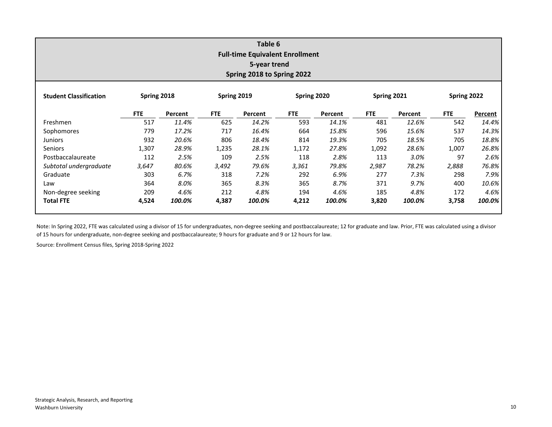| Table 6<br><b>Full-time Equivalent Enrollment</b><br>5-year trend<br>Spring 2018 to Spring 2022 |             |         |             |         |             |         |             |         |             |         |  |
|-------------------------------------------------------------------------------------------------|-------------|---------|-------------|---------|-------------|---------|-------------|---------|-------------|---------|--|
| <b>Student Classification</b>                                                                   | Spring 2018 |         | Spring 2019 |         | Spring 2020 |         | Spring 2021 |         | Spring 2022 |         |  |
|                                                                                                 | <b>FTE</b>  | Percent | <b>FTE</b>  | Percent | FTE         | Percent | <b>FTE</b>  | Percent | <b>FTE</b>  | Percent |  |
| Freshmen                                                                                        | 517         | 11.4%   | 625         | 14.2%   | 593         | 14.1%   | 481         | 12.6%   | 542         | 14.4%   |  |
| Sophomores                                                                                      | 779         | 17.2%   | 717         | 16.4%   | 664         | 15.8%   | 596         | 15.6%   | 537         | 14.3%   |  |
| <b>Juniors</b>                                                                                  | 932         | 20.6%   | 806         | 18.4%   | 814         | 19.3%   | 705         | 18.5%   | 705         | 18.8%   |  |
| Seniors                                                                                         | 1,307       | 28.9%   | 1,235       | 28.1%   | 1,172       | 27.8%   | 1,092       | 28.6%   | 1,007       | 26.8%   |  |
| Postbaccalaureate                                                                               | 112         | 2.5%    | 109         | 2.5%    | 118         | 2.8%    | 113         | 3.0%    | 97          | 2.6%    |  |
| Subtotal undergraduate                                                                          | 3,647       | 80.6%   | 3,492       | 79.6%   | 3,361       | 79.8%   | 2,987       | 78.2%   | 2,888       | 76.8%   |  |
| Graduate                                                                                        | 303         | 6.7%    | 318         | 7.2%    | 292         | 6.9%    | 277         | 7.3%    | 298         | 7.9%    |  |
| Law                                                                                             | 364         | 8.0%    | 365         | 8.3%    | 365         | 8.7%    | 371         | 9.7%    | 400         | 10.6%   |  |
| Non-degree seeking                                                                              | 209         | 4.6%    | 212         | 4.8%    | 194         | 4.6%    | 185         | 4.8%    | 172         | 4.6%    |  |
| <b>Total FTE</b>                                                                                | 4,524       | 100.0%  | 4,387       | 100.0%  | 4,212       | 100.0%  | 3,820       | 100.0%  | 3,758       | 100.0%  |  |

Note: In Spring 2022, FTE was calculated using <sup>a</sup> divisor of 15 for undergraduates, non‐degree seeking and postbaccalaureate; 12 for graduate and law. Prior, FTE was calculated using <sup>a</sup> divisor of 15 hours for undergraduate, non‐degree seeking and postbaccalaureate; 9 hours for graduate and 9 or 12 hours for law.

Source: Enrollment Census files, Spring 2018‐Spring 2022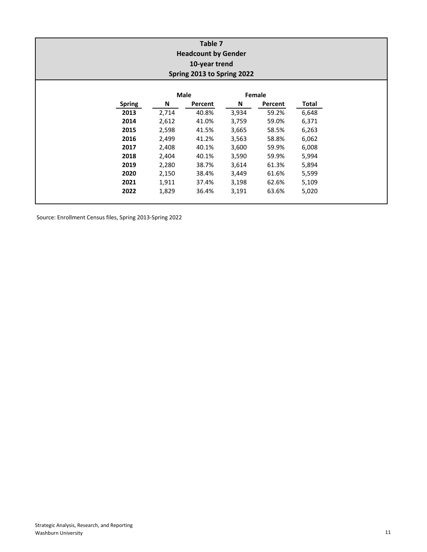| Table 7<br><b>Headcount by Gender</b><br>10-year trend<br>Spring 2013 to Spring 2022 |               |       |         |       |         |       |  |  |  |  |
|--------------------------------------------------------------------------------------|---------------|-------|---------|-------|---------|-------|--|--|--|--|
|                                                                                      |               |       | Male    |       | Female  |       |  |  |  |  |
|                                                                                      | <b>Spring</b> | N     | Percent | N     | Percent | Total |  |  |  |  |
|                                                                                      | 2013          | 2,714 | 40.8%   | 3,934 | 59.2%   | 6,648 |  |  |  |  |
|                                                                                      | 2014          | 2,612 | 41.0%   | 3,759 | 59.0%   | 6,371 |  |  |  |  |
|                                                                                      | 2015          | 2,598 | 41.5%   | 3,665 | 58.5%   | 6,263 |  |  |  |  |
|                                                                                      | 2016          | 2,499 | 41.2%   | 3,563 | 58.8%   | 6,062 |  |  |  |  |
|                                                                                      | 2017          | 2,408 | 40.1%   | 3,600 | 59.9%   | 6,008 |  |  |  |  |
|                                                                                      | 2018          | 2,404 | 40.1%   | 3,590 | 59.9%   | 5,994 |  |  |  |  |
|                                                                                      | 2019          | 2,280 | 38.7%   | 3,614 | 61.3%   | 5,894 |  |  |  |  |
|                                                                                      | 2020          | 2,150 | 38.4%   | 3,449 | 61.6%   | 5,599 |  |  |  |  |
|                                                                                      | 2021          | 1,911 | 37.4%   | 3,198 | 62.6%   | 5,109 |  |  |  |  |
|                                                                                      | 2022          | 1,829 | 36.4%   | 3,191 | 63.6%   | 5,020 |  |  |  |  |

Source: Enrollment Census files, Spring 2013‐Spring 2022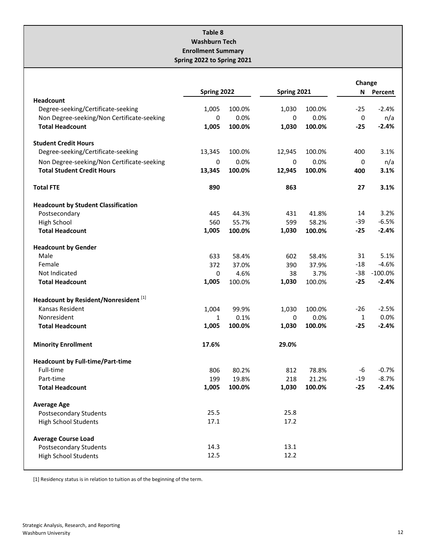#### **Table 8 Washburn Tech Enrollment Summary Spring 2022 to Spring 2021**

|                                            |             |        |             |        | Change       |            |  |
|--------------------------------------------|-------------|--------|-------------|--------|--------------|------------|--|
|                                            | Spring 2022 |        | Spring 2021 |        |              | N Percent  |  |
| <b>Headcount</b>                           |             |        |             |        |              |            |  |
| Degree-seeking/Certificate-seeking         | 1,005       | 100.0% | 1,030       | 100.0% | $-25$        | $-2.4%$    |  |
| Non Degree-seeking/Non Certificate-seeking | 0           | 0.0%   | 0           | 0.0%   | 0            | n/a        |  |
| <b>Total Headcount</b>                     | 1,005       | 100.0% | 1,030       | 100.0% | $-25$        | $-2.4%$    |  |
| <b>Student Credit Hours</b>                |             |        |             |        |              |            |  |
| Degree-seeking/Certificate-seeking         | 13,345      | 100.0% | 12,945      | 100.0% | 400          | 3.1%       |  |
| Non Degree-seeking/Non Certificate-seeking | 0           | 0.0%   | 0           | 0.0%   | 0            | n/a        |  |
| <b>Total Student Credit Hours</b>          | 13,345      | 100.0% | 12,945      | 100.0% | 400          | 3.1%       |  |
| <b>Total FTE</b>                           | 890         |        | 863         |        | 27           | 3.1%       |  |
| <b>Headcount by Student Classification</b> |             |        |             |        |              |            |  |
| Postsecondary                              | 445         | 44.3%  | 431         | 41.8%  | 14           | 3.2%       |  |
| High School                                | 560         | 55.7%  | 599         | 58.2%  | -39          | $-6.5%$    |  |
| <b>Total Headcount</b>                     | 1,005       | 100.0% | 1,030       | 100.0% | $-25$        | $-2.4%$    |  |
| <b>Headcount by Gender</b>                 |             |        |             |        |              |            |  |
| Male                                       | 633         | 58.4%  | 602         | 58.4%  | 31           | 5.1%       |  |
| Female                                     | 372         | 37.0%  | 390         | 37.9%  | $-18$        | $-4.6%$    |  |
| Not Indicated                              | 0           | 4.6%   | 38          | 3.7%   | $-38$        | $-100.0\%$ |  |
| <b>Total Headcount</b>                     | 1,005       | 100.0% | 1,030       | 100.0% | $-25$        | $-2.4%$    |  |
| Headcount by Resident/Nonresident [1]      |             |        |             |        |              |            |  |
| Kansas Resident                            | 1,004       | 99.9%  | 1,030       | 100.0% | $-26$        | $-2.5%$    |  |
| Nonresident                                | 1           | 0.1%   | 0           | 0.0%   | $\mathbf{1}$ | 0.0%       |  |
| <b>Total Headcount</b>                     | 1,005       | 100.0% | 1,030       | 100.0% | $-25$        | $-2.4%$    |  |
| <b>Minority Enrollment</b>                 | 17.6%       |        | 29.0%       |        |              |            |  |
| <b>Headcount by Full-time/Part-time</b>    |             |        |             |        |              |            |  |
| Full-time                                  | 806         | 80.2%  | 812         | 78.8%  | -6           | $-0.7%$    |  |
| Part-time                                  | 199         | 19.8%  | 218         | 21.2%  | $-19$        | $-8.7%$    |  |
| <b>Total Headcount</b>                     | 1,005       | 100.0% | 1,030       | 100.0% | $-25$        | $-2.4%$    |  |
| <b>Average Age</b>                         |             |        |             |        |              |            |  |
| <b>Postsecondary Students</b>              | 25.5        |        | 25.8        |        |              |            |  |
| <b>High School Students</b>                | 17.1        |        | 17.2        |        |              |            |  |
| <b>Average Course Load</b>                 |             |        |             |        |              |            |  |
| <b>Postsecondary Students</b>              | 14.3        |        | 13.1        |        |              |            |  |
| <b>High School Students</b>                | 12.5        |        | 12.2        |        |              |            |  |
|                                            |             |        |             |        |              |            |  |

[1] Residency status is in relation to tuition as of the beginning of the term.